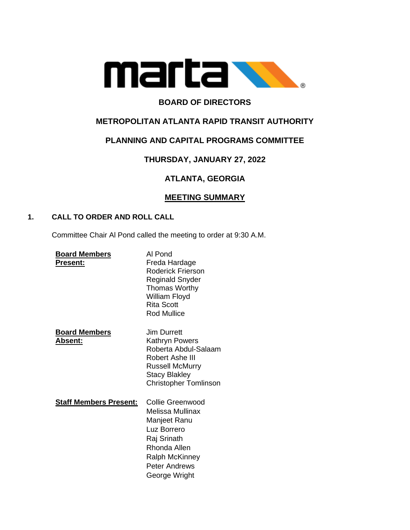

# **BOARD OF DIRECTORS**

## **METROPOLITAN ATLANTA RAPID TRANSIT AUTHORITY**

## **PLANNING AND CAPITAL PROGRAMS COMMITTEE**

# **THURSDAY, JANUARY 27, 2022**

# **ATLANTA, GEORGIA**

## **MEETING SUMMARY**

### **1. CALL TO ORDER AND ROLL CALL**

Committee Chair Al Pond called the meeting to order at 9:30 A.M.

| <b>Board Members</b><br><b>Present:</b> | Al Pond<br>Freda Hardage<br>Roderick Frierson<br><b>Reginald Snyder</b><br><b>Thomas Worthy</b><br>William Floyd<br><b>Rita Scott</b><br><b>Rod Mullice</b>          |
|-----------------------------------------|----------------------------------------------------------------------------------------------------------------------------------------------------------------------|
| <b>Board Members</b><br>Absent:         | <b>Jim Durrett</b><br>Kathryn Powers<br>Roberta Abdul-Salaam<br>Robert Ashe III<br><b>Russell McMurry</b><br><b>Stacy Blakley</b><br><b>Christopher Tomlinson</b>    |
| <b>Staff Members Present:</b>           | Collie Greenwood<br>Melissa Mullinax<br>Manjeet Ranu<br>Luz Borrero<br>Raj Srinath<br>Rhonda Allen<br><b>Ralph McKinney</b><br><b>Peter Andrews</b><br>George Wright |